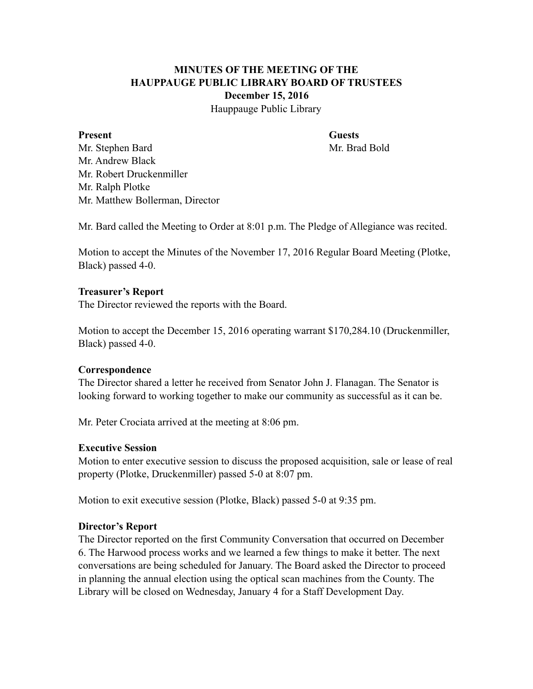## **MINUTES OF THE MEETING OF THE HAUPPAUGE PUBLIC LIBRARY BOARD OF TRUSTEES December 15, 2016**

Hauppauge Public Library

#### **Present Guests**

Mr. Stephen Bard Mr. Brad Bold Mr. Andrew Black Mr. Robert Druckenmiller Mr. Ralph Plotke Mr. Matthew Bollerman, Director

Mr. Bard called the Meeting to Order at 8:01 p.m. The Pledge of Allegiance was recited.

Motion to accept the Minutes of the November 17, 2016 Regular Board Meeting (Plotke, Black) passed 4-0.

#### **Treasurer's Report**

The Director reviewed the reports with the Board.

Motion to accept the December 15, 2016 operating warrant \$170,284.10 (Druckenmiller, Black) passed 4-0.

#### **Correspondence**

The Director shared a letter he received from Senator John J. Flanagan. The Senator is looking forward to working together to make our community as successful as it can be.

Mr. Peter Crociata arrived at the meeting at 8:06 pm.

#### **Executive Session**

Motion to enter executive session to discuss the proposed acquisition, sale or lease of real property (Plotke, Druckenmiller) passed 5-0 at 8:07 pm.

Motion to exit executive session (Plotke, Black) passed 5-0 at 9:35 pm.

#### **Director's Report**

The Director reported on the first Community Conversation that occurred on December 6. The Harwood process works and we learned a few things to make it better. The next conversations are being scheduled for January. The Board asked the Director to proceed in planning the annual election using the optical scan machines from the County. The Library will be closed on Wednesday, January 4 for a Staff Development Day.